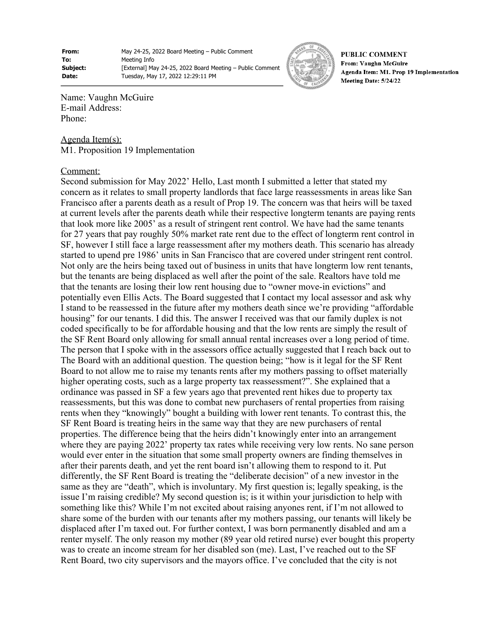**From:** May 24-25, 2022 Board Meeting – Public Comment **To:** Meeting Info **Subject:** [External] May 24-25, 2022 Board Meeting – Public Comment **Date:** Tuesday, May 17, 2022 12:29:11 PM



**PUBLIC COMMENT** From: Vaughn McGuire Agenda Item: M1. Prop 19 Implementation Meeting Date: 5/24/22

Name: Vaughn McGuire E-mail Address: Phone:

Agenda Item(s): M1. Proposition 19 Implementation

## Comment:

Second submission for May 2022' Hello, Last month I submitted a letter that stated my concern as it relates to small property landlords that face large reassessments in areas like San Francisco after a parents death as a result of Prop 19. The concern was that heirs will be taxed at current levels after the parents death while their respective longterm tenants are paying rents that look more like 2005' as a result of stringent rent control. We have had the same tenants for 27 years that pay roughly 50% market rate rent due to the effect of longterm rent control in SF, however I still face a large reassessment after my mothers death. This scenario has already started to upend pre 1986' units in San Francisco that are covered under stringent rent control. Not only are the heirs being taxed out of business in units that have longterm low rent tenants, but the tenants are being displaced as well after the point of the sale. Realtors have told me that the tenants are losing their low rent housing due to "owner move-in evictions" and potentially even Ellis Acts. The Board suggested that I contact my local assessor and ask why I stand to be reassessed in the future after my mothers death since we're providing "affordable housing" for our tenants. I did this. The answer I received was that our family duplex is not coded specifically to be for affordable housing and that the low rents are simply the result of the SF Rent Board only allowing for small annual rental increases over a long period of time. The person that I spoke with in the assessors office actually suggested that I reach back out to The Board with an additional question. The question being; "how is it legal for the SF Rent Board to not allow me to raise my tenants rents after my mothers passing to offset materially higher operating costs, such as a large property tax reassessment?". She explained that a ordinance was passed in SF a few years ago that prevented rent hikes due to property tax reassessments, but this was done to combat new purchasers of rental properties from raising rents when they "knowingly" bought a building with lower rent tenants. To contrast this, the SF Rent Board is treating heirs in the same way that they are new purchasers of rental properties. The difference being that the heirs didn't knowingly enter into an arrangement where they are paying 2022' property tax rates while receiving very low rents. No sane person would ever enter in the situation that some small property owners are finding themselves in after their parents death, and yet the rent board isn't allowing them to respond to it. Put differently, the SF Rent Board is treating the "deliberate decision" of a new investor in the same as they are "death", which is involuntary. My first question is; legally speaking, is the issue I'm raising credible? My second question is; is it within your jurisdiction to help with something like this? While I'm not excited about raising anyones rent, if I'm not allowed to share some of the burden with our tenants after my mothers passing, our tenants will likely be displaced after I'm taxed out. For further context, I was born permanently disabled and am a renter myself. The only reason my mother (89 year old retired nurse) ever bought this property was to create an income stream for her disabled son (me). Last, I've reached out to the SF Rent Board, two city supervisors and the mayors office. I've concluded that the city is not